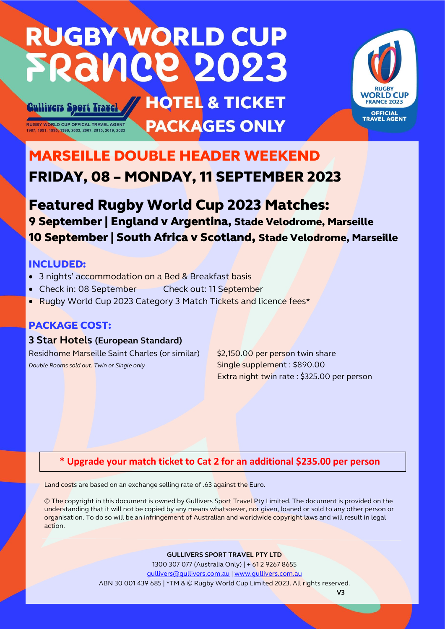# **RUGBY WORLD CUP FRANCE 2023**

# **HOTEL & TICKET PACKAGES ONLY**



# MARSEILLE DOUBLE HEADER WEEKEND FRIDAY, 08 – MONDAY, 11 SEPTEMBER 2023

# Featured Rugby World Cup 2023 Matches: 9 September | England v Argentina, Stade Velodrome, Marseille 10 September | South Africa v Scotland, Stade Velodrome, Marseille

# INCLUDED:

- 3 nights' accommodation on a Bed & Breakfast basis
- Check in: 08 September Check out: 11 September
- Rugby World Cup 2023 Category 3 Match Tickets and licence fees\*

# PACKAGE COST:

**Cullivers Sport Travel** 

**RUGBY WORLD CUP OFFICAL TRAVEL AGENT** 

# **3 Star Hotels (European Standard)**

Residhome Marseille Saint Charles (or similar) \$2,150.00 per person twin share **Double Rooms sold out.** Twin or Single only Single supplement : \$890.00

Extra night twin rate : \$325.00 per person

# **\* Upgrade your match ticket to Cat 2 for an additional \$235.00 per person**

Land costs are based on an exchange selling rate of .63 against the Euro.

© The copyright in this document is owned by Gullivers Sport Travel Pty Limited. The document is provided on the understanding that it will not be copied by any means whatsoever, nor given, loaned or sold to any other person or organisation. To do so will be an infringement of Australian and worldwide copyright laws and will result in legal action.

## **GULLIVERS SPORT TRAVEL PTY LTD**

1300 307 077 (Australia Only) | + 61 2 9267 8655 [gullivers@gullivers.com.au](mailto:gullivers@gullivers.com.au) | [www.gullivers.com.au](http://www.gullivers.com.au/) ABN 30 001 439 685 | \*TM & © Rugby World Cup Limited 2023. All rights reserved.  **V3**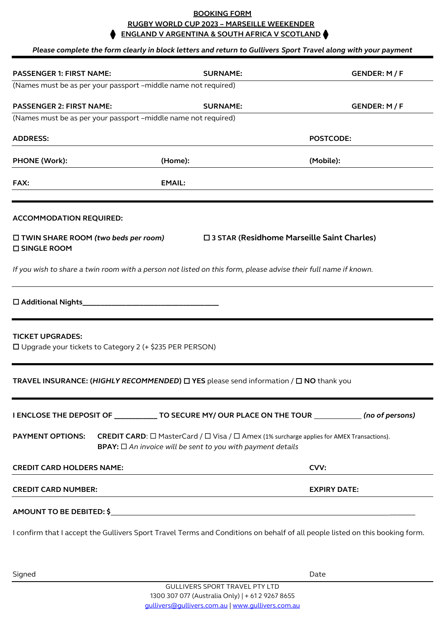## **BOOKING FORM RUGBY WORLD CUP 2023 – MARSEILLE WEEKENDER ENGLAND V ARGENTINA & SOUTH AFRICA V SCOTLAND**

## *Please complete the form clearly in block letters and return to Gullivers Sport Travel along with your payment*

| (Names must be as per your passport -middle name not required)<br><b>SURNAME:</b><br>GENDER: M / F<br>(Names must be as per your passport -middle name not required)<br><b>POSTCODE:</b><br>(Mobile):<br>□ 3 STAR (Residhome Marseille Saint Charles) |
|-------------------------------------------------------------------------------------------------------------------------------------------------------------------------------------------------------------------------------------------------------|
|                                                                                                                                                                                                                                                       |
|                                                                                                                                                                                                                                                       |
|                                                                                                                                                                                                                                                       |
|                                                                                                                                                                                                                                                       |
|                                                                                                                                                                                                                                                       |
|                                                                                                                                                                                                                                                       |
|                                                                                                                                                                                                                                                       |
|                                                                                                                                                                                                                                                       |
| If you wish to share a twin room with a person not listed on this form, please advise their full name if known.                                                                                                                                       |
|                                                                                                                                                                                                                                                       |
|                                                                                                                                                                                                                                                       |
| <b>TRAVEL INSURANCE: (HIGHLY RECOMMENDED) <math>\Box</math> YES</b> please send information / $\Box$ NO thank you                                                                                                                                     |
| I ENCLOSE THE DEPOSIT OF ____________ TO SECURE MY/ OUR PLACE ON THE TOUR ____________ (no of persons)                                                                                                                                                |
| <b>CREDIT CARD:</b> $\Box$ MasterCard / $\Box$ Visa / $\Box$ Amex (1% surcharge applies for AMEX Transactions).<br><b>BPAY:</b> $\Box$ An invoice will be sent to you with payment details                                                            |
| CVV:                                                                                                                                                                                                                                                  |
| <b>EXPIRY DATE:</b>                                                                                                                                                                                                                                   |
|                                                                                                                                                                                                                                                       |
| I confirm that I accept the Gullivers Sport Travel Terms and Conditions on behalf of all people listed on this booking form.                                                                                                                          |
|                                                                                                                                                                                                                                                       |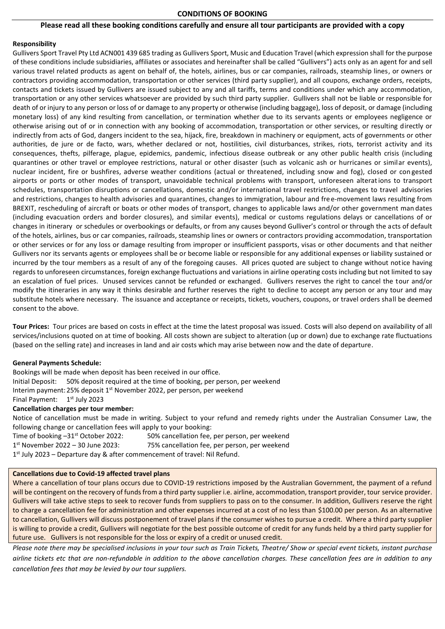### **CONDITIONS OF BOOKING**

#### **Please read all these booking conditions carefully and ensure all tour participants are provided with a copy**

#### **Responsibility**

Gullivers Sport Travel Pty Ltd ACN001 439 685 trading as Gullivers Sport, Music and Education Travel (which expression shall for the purpose of these conditions include subsidiaries, affiliates or associates and hereinafter shall be called "Gullivers") acts only as an agent for and sell various travel related products as agent on behalf of, the hotels, airlines, bus or car companies, railroads, steamship lines, or owners or contractors providing accommodation, transportation or other services (third party supplier), and all coupons, exchange orders, receipts, contacts and tickets issued by Gullivers are issued subject to any and all tariffs, terms and conditions under which any accommodation, transportation or any other services whatsoever are provided by such third party supplier. Gullivers shall not be liable or responsible for death of or injury to any person or loss of or damage to any property or otherwise (including baggage), loss of deposit, or damage (including monetary loss) of any kind resulting from cancellation, or termination whether due to its servants agents or employees negligence or otherwise arising out of or in connection with any booking of accommodation, transportation or other services, or resulting directly or indirectly from acts of God, dangers incident to the sea, hijack, fire, breakdown in machinery or equipment, acts of governments or other authorities, de jure or de facto, wars, whether declared or not, hostilities, civil disturbances, strikes, riots, terrorist activity and its consequences, thefts, pilferage, plague, epidemics, pandemic, infectious disease outbreak or any other public health crisis (including quarantines or other travel or employee restrictions, natural or other disaster (such as volcanic ash or hurricanes or similar events), nuclear incident, fire or bushfires, adverse weather conditions (actual or threatened, including snow and fog), closed or con gested airports or ports or other modes of transport, unavoidable technical problems with transport, unforeseen alterations to transport schedules, transportation disruptions or cancellations, domestic and/or international travel restrictions, changes to travel advisories and restrictions, changes to health advisories and quarantines, changes to immigration, labour and free-movement laws resulting from BREXIT, rescheduling of aircraft or boats or other modes of transport, changes to applicable laws and/or other government man dates (including evacuation orders and border closures), and similar events), medical or customs regulations delays or cancellations of or changes in itinerary or schedules or overbookings or defaults, or from any causes beyond Gulliver's control or through the acts of default of the hotels, airlines, bus or car companies, railroads, steamship lines or owners or contractors providing accommodation, transportation or other services or for any loss or damage resulting from improper or insufficient passports, visas or other documents and that neither Gullivers nor its servants agents or employees shall be or become liable or responsible for any additional expenses or liability sustained or incurred by the tour members as a result of any of the foregoing causes. All prices quoted are subject to change without notice having regards to unforeseen circumstances, foreign exchange fluctuations and variations in airline operating costs including but not limited to say an escalation of fuel prices. Unused services cannot be refunded or exchanged. Gullivers reserves the right to cancel the tour and/or modify the itineraries in any way it thinks desirable and further reserves the right to decline to accept any person or any tour and may substitute hotels where necessary. The issuance and acceptance or receipts, tickets, vouchers, coupons, or travel orders shall be deemed consent to the above.

**Tour Prices:** Tour prices are based on costs in effect at the time the latest proposal was issued. Costs will also depend on availability of all services/inclusions quoted on at time of booking. All costs shown are subject to alteration (up or down) due to exchange rate fluctuations (based on the selling rate) and increases in land and air costs which may arise between now and the date of departure.

#### **General Payments Schedule:**

Bookings will be made when deposit has been received in our office. Initial Deposit: 50% deposit required at the time of booking, per person, per weekend Interim payment: 25% deposit 1<sup>st</sup> November 2022, per person, per weekend Final Payment: 1<sup>st</sup> July 2023 **Cancellation charges per tour member:**

Notice of cancellation must be made in writing. Subject to your refund and remedy rights under the Australian Consumer Law, the following change or cancellation fees will apply to your booking:

Time of booking -31<sup>st</sup> October 2022: 50% cancellation fee, per person, per weekend  $1^{st}$  November 2022 - 30 June 2023: 75% cancellation fee, per person, per weekend 1<sup>st</sup> July 2023 – Departure day & after commencement of travel: Nil Refund.

#### **Cancellations due to Covid-19 affected travel plans**

Where a cancellation of tour plans occurs due to COVID-19 restrictions imposed by the Australian Government, the payment of a refund will be contingent on the recovery of funds from a third party supplier i.e. airline, accommodation, transport provider, tour service provider. Gullivers will take active steps to seek to recover funds from suppliers to pass on to the consumer. In addition, Gullivers reserve the right to charge a cancellation fee for administration and other expenses incurred at a cost of no less than \$100.00 per person. As an alternative to cancellation, Gullivers will discuss postponement of travel plans if the consumer wishes to pursue a credit. Where a third party supplier is willing to provide a credit, Gullivers will negotiate for the best possible outcome of credit for any funds held by a third party supplier for future use. Gullivers is not responsible for the loss or expiry of a credit or unused credit.

*Please note there may be specialised inclusions in your tour such as Train Tickets, Theatre/ Show or special event tickets, instant purchase airline tickets etc that are non-refundable in addition to the above cancellation charges. These cancellation fees are in addition to any cancellation fees that may be levied by our tour suppliers.*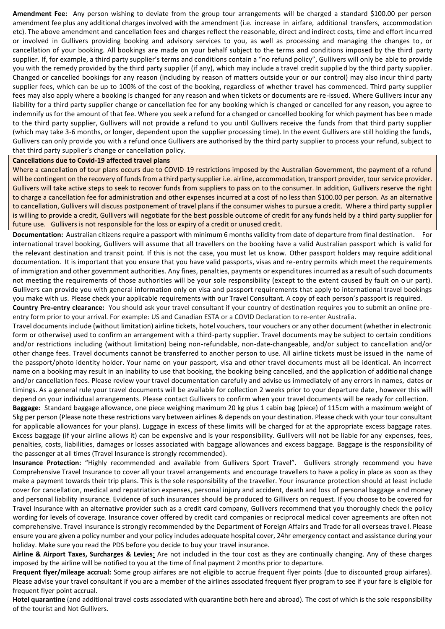**Amendment Fee:** Any person wishing to deviate from the group tour arrangements will be charged a standard \$100.00 per person amendment fee plus any additional charges involved with the amendment (i.e. increase in airfare, additional transfers, accommodation etc). The above amendment and cancellation fees and charges reflect the reasonable, direct and indirect costs, time and effort incu rred or involved in Gullivers providing booking and advisory services to you, as well as processing and managing the changes to, or cancellation of your booking. All bookings are made on your behalf subject to the terms and conditions imposed by the third party supplier. If, for example, a third party supplier's terms and conditions contain a "no refund policy", Gullivers will only be able to provide you with the remedy provided by the third party supplier (if any), which may include a travel credit supplied by the third party supplier. Changed or cancelled bookings for any reason (including by reason of matters outside your or our control) may also incur thir d party supplier fees, which can be up to 100% of the cost of the booking, regardless of whether travel has commenced. Third party supplier fees may also apply where a booking is changed for any reason and when tickets or documents are re-issued. Where Gullivers incur any liability for a third party supplier change or cancellation fee for any booking which is changed or cancelled for any reason, you agree to indemnify us for the amount of that fee. Where you seek a refund for a changed or cancelled booking for which payment has been made to the third party supplier, Gullivers will not provide a refund to you until Gullivers receive the funds from that third party supplier (which may take 3-6 months, or longer, dependent upon the supplier processing time). In the event Gullivers are still holding the funds, Gullivers can only provide you with a refund once Gullivers are authorised by the third party supplier to process your refund, subject to that third party supplier's change or cancellation policy.

### **Cancellations due to Covid-19 affected travel plans**

Where a cancellation of tour plans occurs due to COVID-19 restrictions imposed by the Australian Government, the payment of a refund will be contingent on the recovery of funds from a third party supplier i.e. airline, accommodation, transport provider, tour service provider. Gullivers will take active steps to seek to recover funds from suppliers to pass on to the consumer. In addition, Gullivers reserve the right to charge a cancellation fee for administration and other expenses incurred at a cost of no less than \$100.00 per person. As an alternative to cancellation, Gullivers will discuss postponement of travel plans if the consumer wishes to pursue a credit. Where a third party supplier is willing to provide a credit, Gullivers will negotiate for the best possible outcome of credit for any funds held by a third party supplier for future use. Gullivers is not responsible for the loss or expiry of a credit or unused credit.

**Documentation:** Australian citizens require a passport with minimum 6 months validity from date of departure from final destination. For international travel booking, Gullivers will assume that all travellers on the booking have a valid Australian passport which is valid for the relevant destination and transit point. If this is not the case, you must let us know. Other passport holders may require additional documentation. It is important that you ensure that you have valid passports, visas and re-entry permits which meet the requirements of immigration and other government authorities. Any fines, penalties, payments or expenditures incurred as a result of such documents not meeting the requirements of those authorities will be your sole responsibility (except to the extent caused by fault on o ur part). Gullivers can provide you with general information only on visa and passport requirements that apply to international travel bookings you make with us. Please check your applicable requirements with our Travel Consultant. A copy of each person's passport is required.

**Country Pre-entry clearance:** You should ask your travel consultant if your country of destination requires you to submit an online preentry form prior to your arrival. For example: US and Canadian ESTA or a COVID Declaration to re-enter Australia.

Travel documents include (without limitation) airline tickets, hotel vouchers, tour vouchers or any other document (whether in electronic form or otherwise) used to confirm an arrangement with a third-party supplier. Travel documents may be subject to certain conditions and/or restrictions including (without limitation) being non-refundable, non-date-changeable, and/or subject to cancellation and/or other change fees. Travel documents cannot be transferred to another person to use. All airline tickets must be issued in the name of the passport/photo identity holder. Your name on your passport, visa and other travel documents must all be identical. An incorrect name on a booking may result in an inability to use that booking, the booking being cancelled, and the application of additio nal change and/or cancellation fees. Please review your travel documentation carefully and advise us immediately of any errors in names, dates or timings. As a general rule your travel documents will be available for collection 2 weeks prior to your departure date , however this will depend on your individual arrangements. Please contact Gullivers to confirm when your travel documents will be ready for coll ection.

**Baggage:** Standard baggage allowance, one piece weighing maximum 20 kg plus 1 cabin bag (piece) of 115cm with a maximum weight of 5kg per person (Please note these restrictions vary between airlines & depends on your destination. Please check with your tour consultant for applicable allowances for your plans). Luggage in excess of these limits will be charged for at the appropriate excess baggage rates. Excess baggage (if your airline allows it) can be expensive and is your responsibility. Gullivers will not be liable for any expenses, fees, penalties, costs, liabilities, damages or losses associated with baggage allowances and excess baggage. Baggage is the responsibility of the passenger at all times (Travel Insurance is strongly recommended).

**Insurance Protection:** "Highly recommended and available from Gullivers Sport Travel". Gullivers strongly recommend you have Comprehensive Travel Insurance to cover all your travel arrangements and encourage travellers to have a policy in place as soon as they make a payment towards their trip plans. This is the sole responsibility of the traveller. Your insurance protection should at least include cover for cancellation, medical and repatriation expenses, personal injury and accident, death and loss of personal baggage a nd money and personal liability insurance. Evidence of such insurances should be produced to Gillivers on request. If you choose to be covered for Travel Insurance with an alternative provider such as a credit card company, Gullivers recommend that you thoroughly check the policy wording for levels of coverage. Insurance cover offered by credit card companies or reciprocal medical cover agreements are often not comprehensive. Travel insurance is strongly recommended by the Department of Foreign Affairs and Trade for all overseas travel. Please ensure you are given a policy number and your policy includes adequate hospital cover, 24hr emergency contact and assistance during your holiday. Make sure you read the PDS before you decide to buy your travel insurance.

**Airline & Airport Taxes, Surcharges & Levies**: Are not included in the tour cost as they are continually changing. Any of these charges imposed by the airline will be notified to you at the time of final payment 2 months prior to departure.

**Frequent flyer/mileage accrual:** Some group airfares are not eligible to accrue frequent flyer points (due to discounted group airfares). Please advise your travel consultant if you are a member of the airlines associated frequent flyer program to see if your fare is eligible for frequent flyer point accrual.

**Hotel quarantine** (and additional travel costs associated with quarantine both here and abroad). The cost of which is the sole responsibility of the tourist and Not Gullivers.